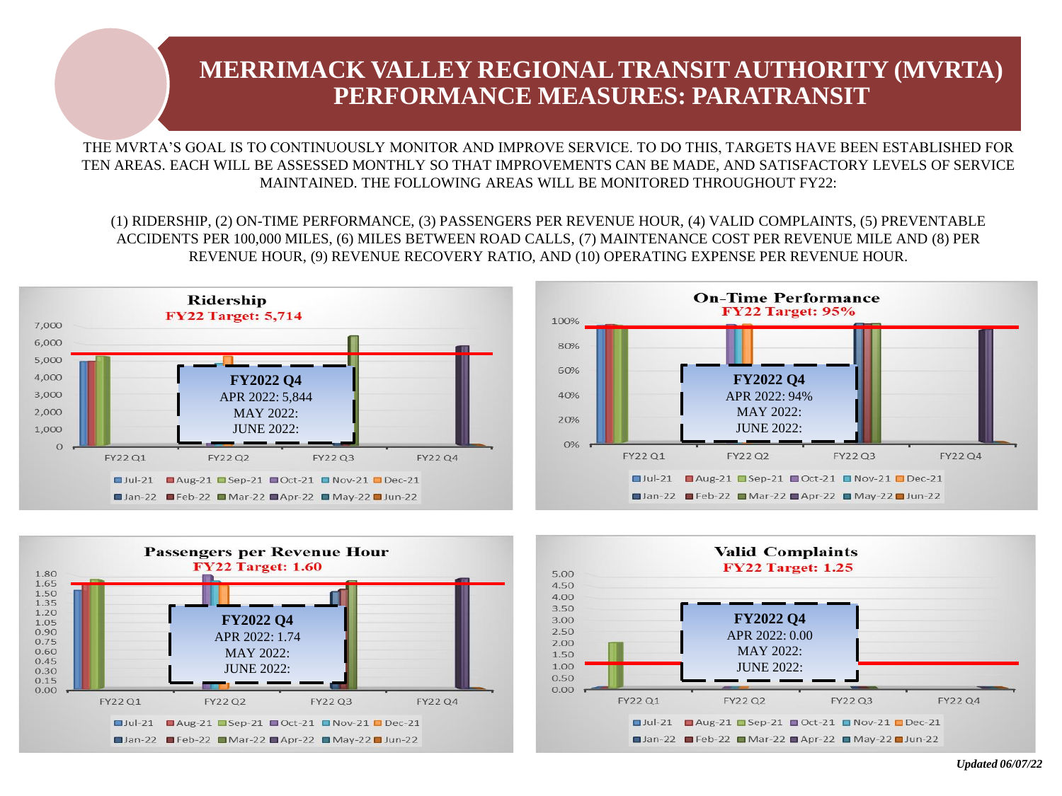THE MVRTA'S GOAL IS TO CONTINUOUSLY MONITOR AND IMPROVE SERVICE. TO DO THIS, TARGETS HAVE BEEN ESTABLISHED FOR TEN AREAS. EACH WILL BE ASSESSED MONTHLY SO THAT IMPROVEMENTS CAN BE MADE, AND SATISFACTORY LEVELS OF SERVICE MAINTAINED. THE FOLLOWING AREAS WILL BE MONITORED THROUGHOUT FY22:

(1) RIDERSHIP, (2) ON-TIME PERFORMANCE, (3) PASSENGERS PER REVENUE HOUR, (4) VALID COMPLAINTS, (5) PREVENTABLE ACCIDENTS PER 100,000 MILES, (6) MILES BETWEEN ROAD CALLS, (7) MAINTENANCE COST PER REVENUE MILE AND (8) PER REVENUE HOUR, (9) REVENUE RECOVERY RATIO, AND (10) OPERATING EXPENSE PER REVENUE HOUR.







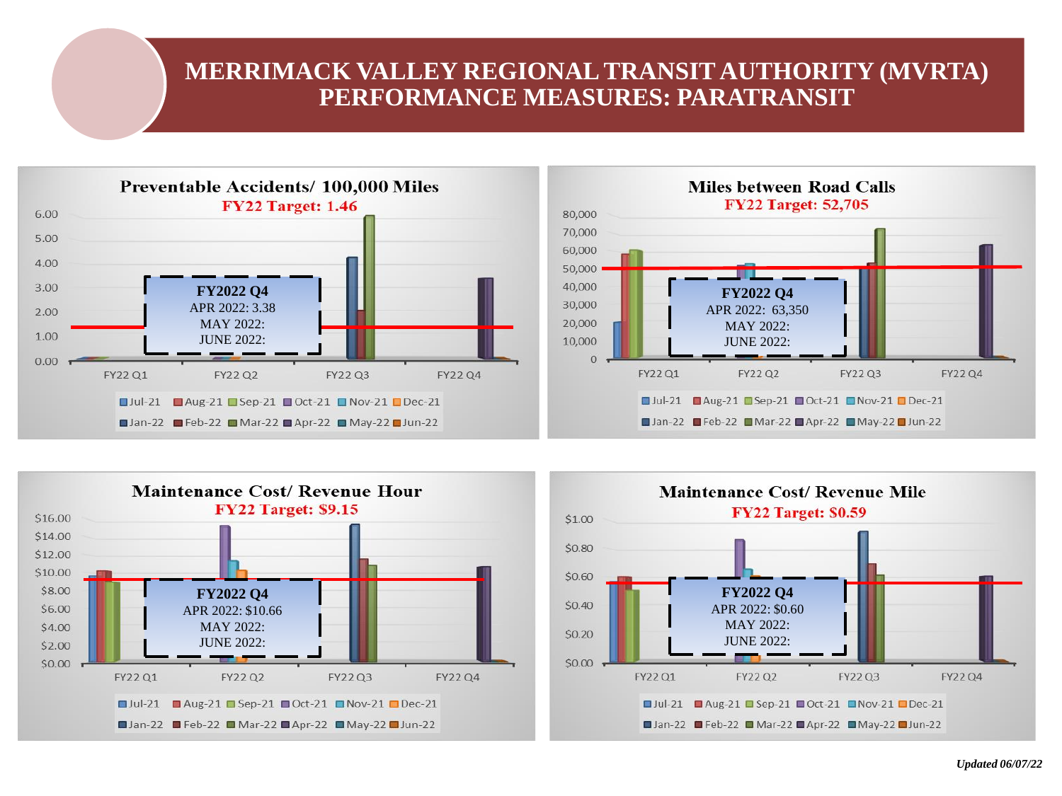





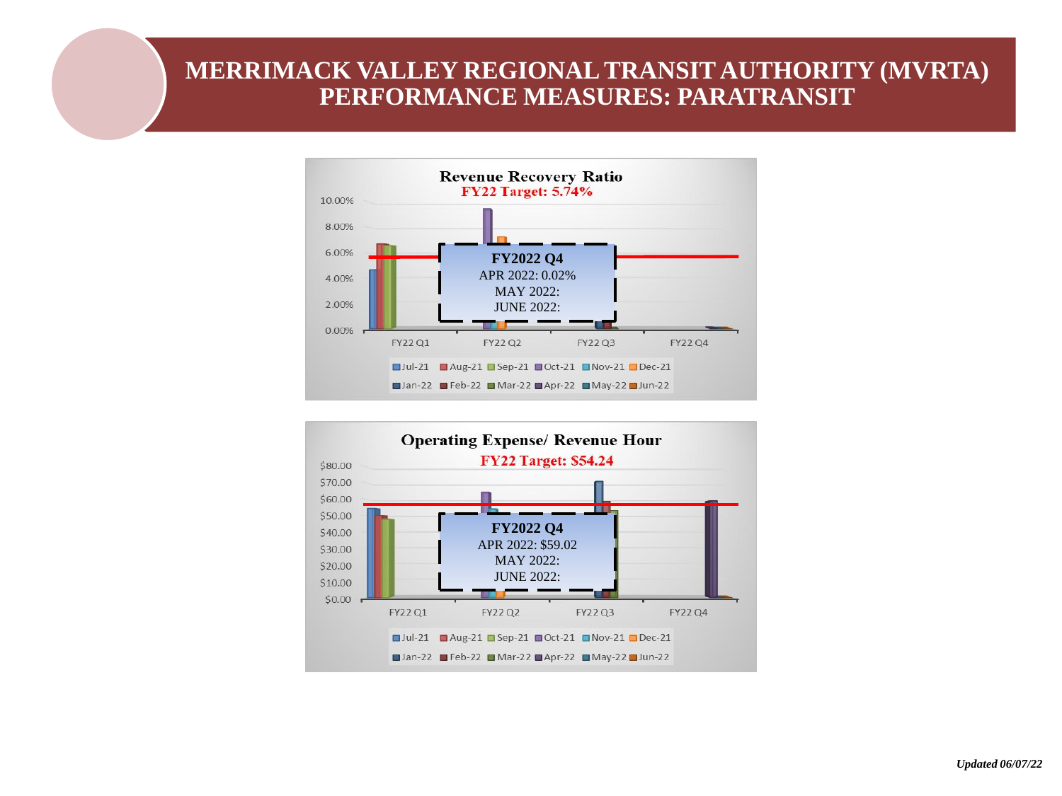